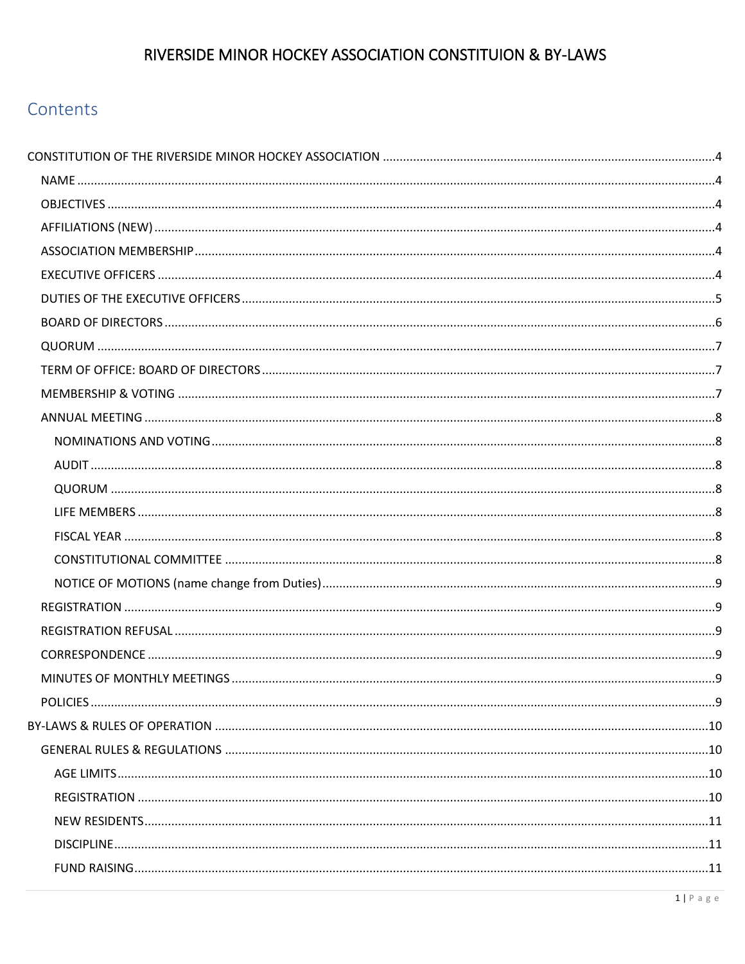# Contents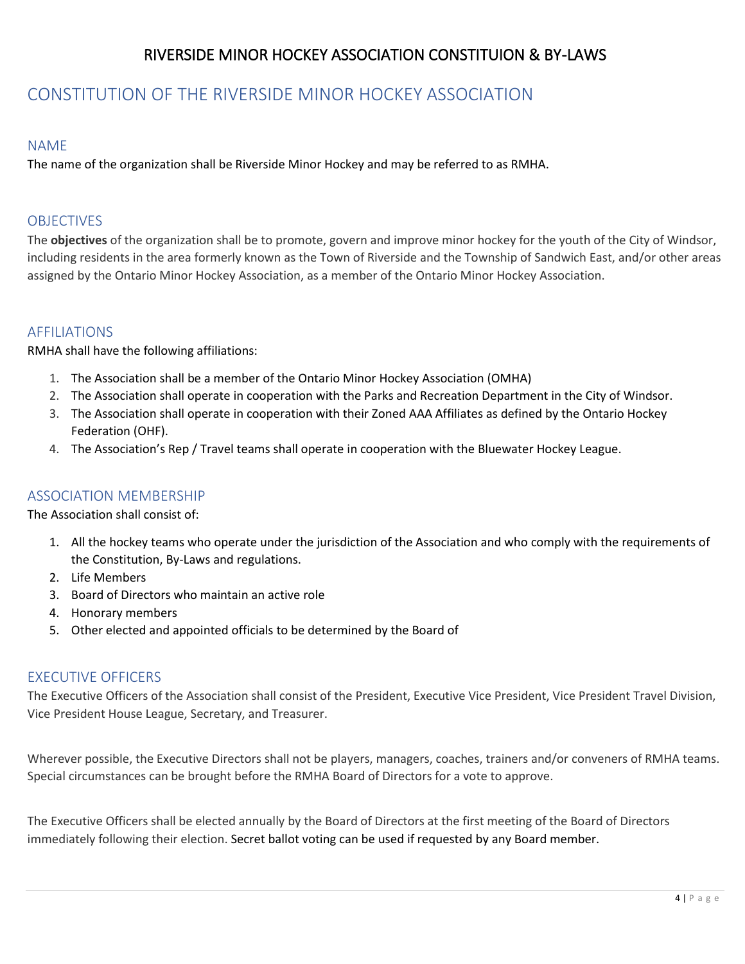# <span id="page-3-0"></span>CONSTITUTION OF THE RIVERSIDE MINOR HOCKEY ASSOCIATION

## <span id="page-3-1"></span>NAME

The name of the organization shall be Riverside Minor Hockey and may be referred to as RMHA.

## <span id="page-3-2"></span>OBJECTIVES

The **objectives** of the organization shall be to promote, govern and improve minor hockey for the youth of the City of Windsor, including residents in the area formerly known as the Town of Riverside and the Township of Sandwich East, and/or other areas assigned by the Ontario Minor Hockey Association, as a member of the Ontario Minor Hockey Association.

## <span id="page-3-3"></span>AFFILIATIONS

RMHA shall have the following affiliations:

- 1. The Association shall be a member of the Ontario Minor Hockey Association (OMHA)
- 2. The Association shall operate in cooperation with the Parks and Recreation Department in the City of Windsor.
- 3. The Association shall operate in cooperation with their Zoned AAA Affiliates as defined by the Ontario Hockey Federation (OHF).
- 4. The Association's Rep / Travel teams shall operate in cooperation with the Bluewater Hockey League.

## <span id="page-3-4"></span>ASSOCIATION MEMBERSHIP

The Association shall consist of:

- 1. All the hockey teams who operate under the jurisdiction of the Association and who comply with the requirements of the Constitution, By-Laws and regulations.
- 2. Life Members
- 3. Board of Directors who maintain an active role
- 4. Honorary members
- 5. Other elected and appointed officials to be determined by the Board of

## <span id="page-3-5"></span>EXECUTIVE OFFICERS

The Executive Officers of the Association shall consist of the President, Executive Vice President, Vice President Travel Division, Vice President House League, Secretary, and Treasurer.

Wherever possible, the Executive Directors shall not be players, managers, coaches, trainers and/or conveners of RMHA teams. Special circumstances can be brought before the RMHA Board of Directors for a vote to approve.

The Executive Officers shall be elected annually by the Board of Directors at the first meeting of the Board of Directors immediately following their election. Secret ballot voting can be used if requested by any Board member.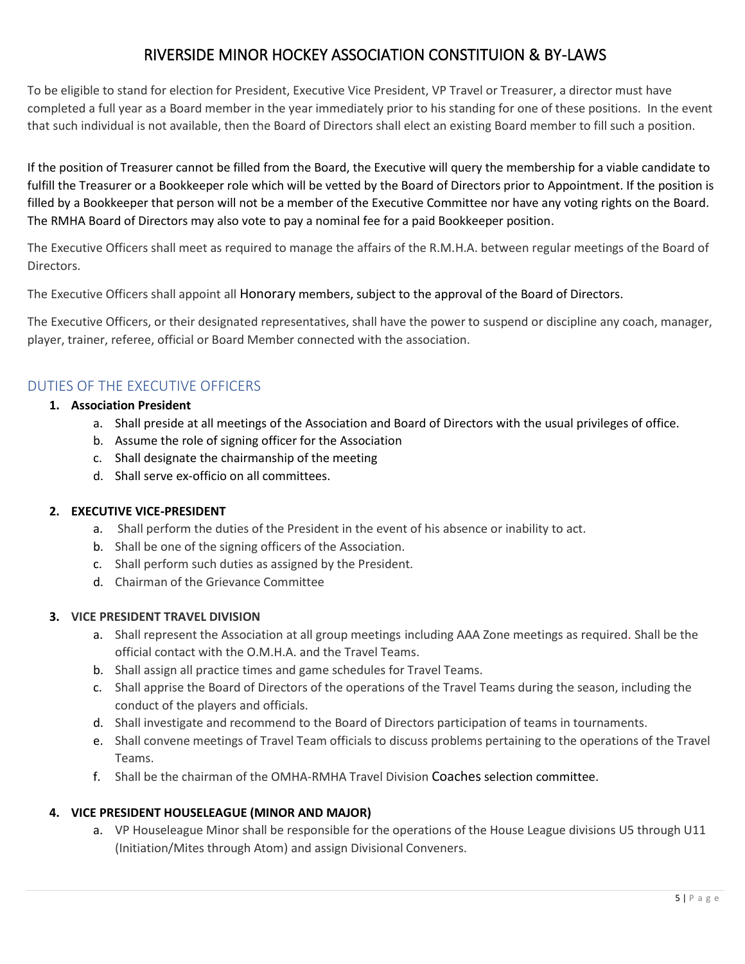To be eligible to stand for election for President, Executive Vice President, VP Travel or Treasurer, a director must have completed a full year as a Board member in the year immediately prior to his standing for one of these positions. In the event that such individual is not available, then the Board of Directors shall elect an existing Board member to fill such a position.

If the position of Treasurer cannot be filled from the Board, the Executive will query the membership for a viable candidate to fulfill the Treasurer or a Bookkeeper role which will be vetted by the Board of Directors prior to Appointment. If the position is filled by a Bookkeeper that person will not be a member of the Executive Committee nor have any voting rights on the Board. The RMHA Board of Directors may also vote to pay a nominal fee for a paid Bookkeeper position.

The Executive Officers shall meet as required to manage the affairs of the R.M.H.A. between regular meetings of the Board of Directors.

The Executive Officers shall appoint all Honorary members, subject to the approval of the Board of Directors.

The Executive Officers, or their designated representatives, shall have the power to suspend or discipline any coach, manager, player, trainer, referee, official or Board Member connected with the association.

## <span id="page-4-0"></span>DUTIES OF THE EXECUTIVE OFFICERS

#### **1. Association President**

- a. Shall preside at all meetings of the Association and Board of Directors with the usual privileges of office.
- b. Assume the role of signing officer for the Association
- c. Shall designate the chairmanship of the meeting
- d. Shall serve ex-officio on all committees.

#### **2. EXECUTIVE VICE-PRESIDENT**

- a. Shall perform the duties of the President in the event of his absence or inability to act.
- b. Shall be one of the signing officers of the Association.
- c. Shall perform such duties as assigned by the President.
- d. Chairman of the Grievance Committee

#### **3. VICE PRESIDENT TRAVEL DIVISION**

- a. Shall represent the Association at all group meetings including AAA Zone meetings as required. Shall be the official contact with the O.M.H.A. and the Travel Teams.
- b. Shall assign all practice times and game schedules for Travel Teams.
- c. Shall apprise the Board of Directors of the operations of the Travel Teams during the season, including the conduct of the players and officials.
- d. Shall investigate and recommend to the Board of Directors participation of teams in tournaments.
- e. Shall convene meetings of Travel Team officials to discuss problems pertaining to the operations of the Travel Teams.
- f. Shall be the chairman of the OMHA-RMHA Travel Division Coaches selection committee.

## **4. VICE PRESIDENT HOUSELEAGUE (MINOR AND MAJOR)**

a. VP Houseleague Minor shall be responsible for the operations of the House League divisions U5 through U11 (Initiation/Mites through Atom) and assign Divisional Conveners.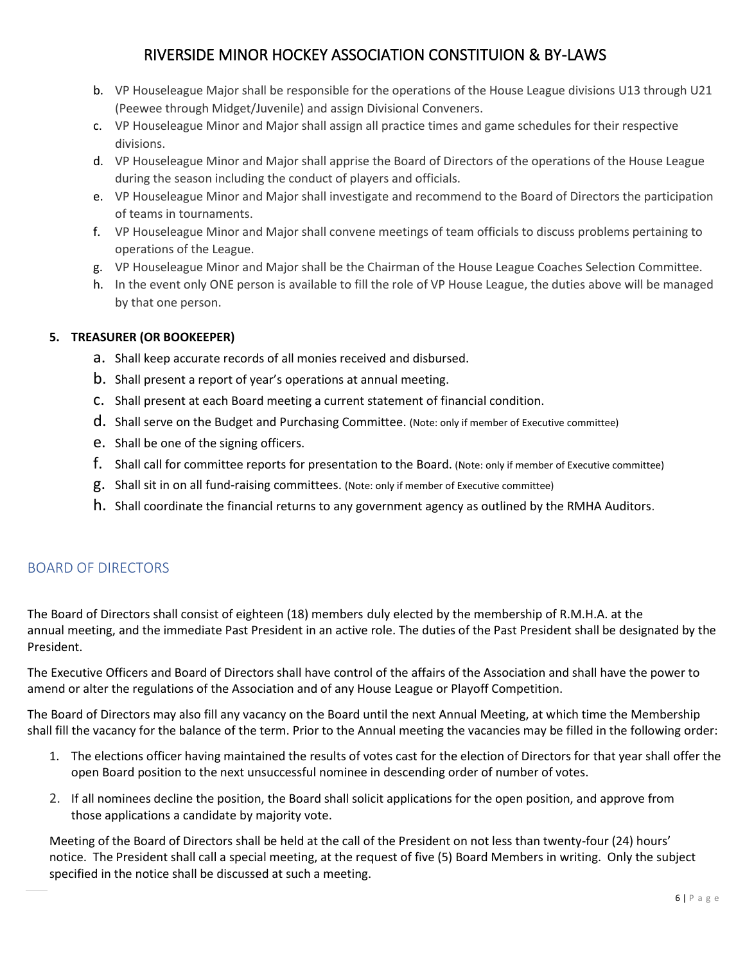- b. VP Houseleague Major shall be responsible for the operations of the House League divisions U13 through U21 (Peewee through Midget/Juvenile) and assign Divisional Conveners.
- c. VP Houseleague Minor and Major shall assign all practice times and game schedules for their respective divisions.
- d. VP Houseleague Minor and Major shall apprise the Board of Directors of the operations of the House League during the season including the conduct of players and officials.
- e. VP Houseleague Minor and Major shall investigate and recommend to the Board of Directors the participation of teams in tournaments.
- f. VP Houseleague Minor and Major shall convene meetings of team officials to discuss problems pertaining to operations of the League.
- g. VP Houseleague Minor and Major shall be the Chairman of the House League Coaches Selection Committee.
- h. In the event only ONE person is available to fill the role of VP House League, the duties above will be managed by that one person.

#### **5. TREASURER (OR BOOKEEPER)**

- a. Shall keep accurate records of all monies received and disbursed.
- b. Shall present a report of year's operations at annual meeting.
- c. Shall present at each Board meeting a current statement of financial condition.
- d. Shall serve on the Budget and Purchasing Committee. (Note: only if member of Executive committee)
- e. Shall be one of the signing officers.
- f. Shall call for committee reports for presentation to the Board. (Note: only if member of Executive committee)
- g. Shall sit in on all fund-raising committees. (Note: only if member of Executive committee)
- h. Shall coordinate the financial returns to any government agency as outlined by the RMHA Auditors.

## <span id="page-5-0"></span>BOARD OF DIRECTORS

The Board of Directors shall consist of eighteen (18) members duly elected by the membership of R.M.H.A. at the annual meeting, and the immediate Past President in an active role. The duties of the Past President shall be designated by the President.

The Executive Officers and Board of Directors shall have control of the affairs of the Association and shall have the power to amend or alter the regulations of the Association and of any House League or Playoff Competition.

The Board of Directors may also fill any vacancy on the Board until the next Annual Meeting, at which time the Membership shall fill the vacancy for the balance of the term. Prior to the Annual meeting the vacancies may be filled in the following order:

- 1. The elections officer having maintained the results of votes cast for the election of Directors for that year shall offer the open Board position to the next unsuccessful nominee in descending order of number of votes.
- 2. If all nominees decline the position, the Board shall solicit applications for the open position, and approve from those applications a candidate by majority vote.

Meeting of the Board of Directors shall be held at the call of the President on not less than twenty-four (24) hours' notice. The President shall call a special meeting, at the request of five (5) Board Members in writing. Only the subject specified in the notice shall be discussed at such a meeting.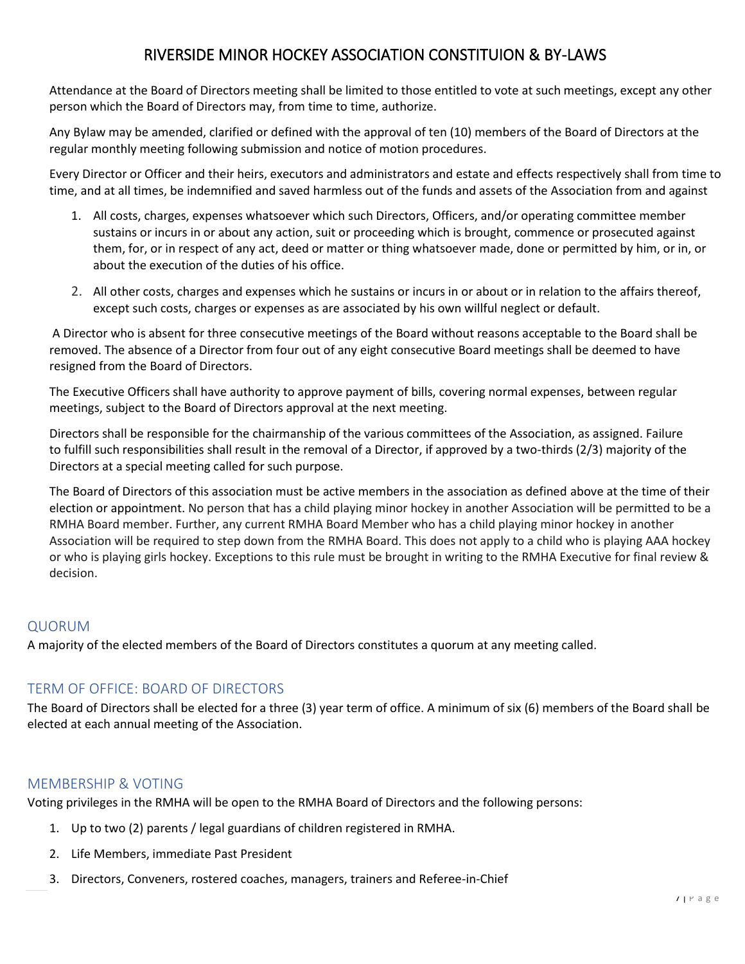Attendance at the Board of Directors meeting shall be limited to those entitled to vote at such meetings, except any other person which the Board of Directors may, from time to time, authorize.

Any Bylaw may be amended, clarified or defined with the approval of ten (10) members of the Board of Directors at the regular monthly meeting following submission and notice of motion procedures.

Every Director or Officer and their heirs, executors and administrators and estate and effects respectively shall from time to time, and at all times, be indemnified and saved harmless out of the funds and assets of the Association from and against

- 1. All costs, charges, expenses whatsoever which such Directors, Officers, and/or operating committee member sustains or incurs in or about any action, suit or proceeding which is brought, commence or prosecuted against them, for, or in respect of any act, deed or matter or thing whatsoever made, done or permitted by him, or in, or about the execution of the duties of his office.
- 2. All other costs, charges and expenses which he sustains or incurs in or about or in relation to the affairs thereof, except such costs, charges or expenses as are associated by his own willful neglect or default.

A Director who is absent for three consecutive meetings of the Board without reasons acceptable to the Board shall be removed. The absence of a Director from four out of any eight consecutive Board meetings shall be deemed to have resigned from the Board of Directors.

The Executive Officers shall have authority to approve payment of bills, covering normal expenses, between regular meetings, subject to the Board of Directors approval at the next meeting.

Directors shall be responsible for the chairmanship of the various committees of the Association, as assigned. Failure to fulfill such responsibilities shall result in the removal of a Director, if approved by a two-thirds (2/3) majority of the Directors at a special meeting called for such purpose.

The Board of Directors of this association must be active members in the association as defined above at the time of their election or appointment. No person that has a child playing minor hockey in another Association will be permitted to be a RMHA Board member. Further, any current RMHA Board Member who has a child playing minor hockey in another Association will be required to step down from the RMHA Board. This does not apply to a child who is playing AAA hockey or who is playing girls hockey. Exceptions to this rule must be brought in writing to the RMHA Executive for final review & decision.

## <span id="page-6-0"></span>QUORUM

A majority of the elected members of the Board of Directors constitutes a quorum at any meeting called.

## <span id="page-6-1"></span>TERM OF OFFICE: BOARD OF DIRECTORS

The Board of Directors shall be elected for a three (3) year term of office. A minimum of six (6) members of the Board shall be elected at each annual meeting of the Association.

## <span id="page-6-2"></span>MEMBERSHIP & VOTING

Voting privileges in the RMHA will be open to the RMHA Board of Directors and the following persons:

- 1. Up to two (2) parents / legal guardians of children registered in RMHA.
- 2. Life Members, immediate Past President
- 3. Directors, Conveners, rostered coaches, managers, trainers and Referee-in-Chief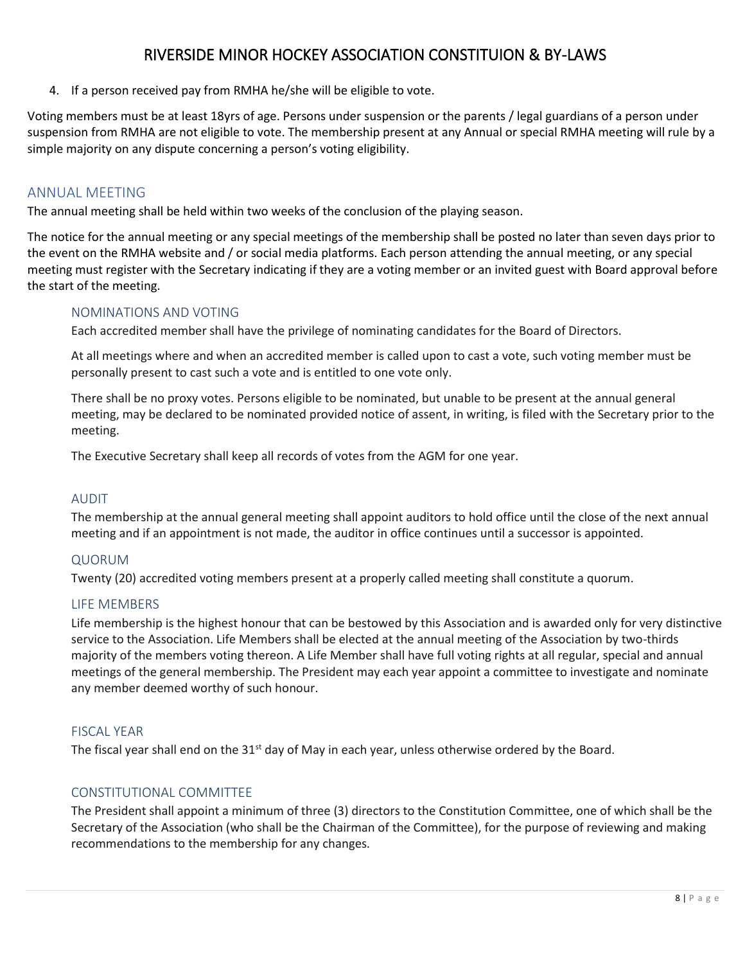4. If a person received pay from RMHA he/she will be eligible to vote.

Voting members must be at least 18yrs of age. Persons under suspension or the parents / legal guardians of a person under suspension from RMHA are not eligible to vote. The membership present at any Annual or special RMHA meeting will rule by a simple majority on any dispute concerning a person's voting eligibility.

## <span id="page-7-0"></span>ANNUAL MEETING

The annual meeting shall be held within two weeks of the conclusion of the playing season.

The notice for the annual meeting or any special meetings of the membership shall be posted no later than seven days prior to the event on the RMHA website and / or social media platforms. Each person attending the annual meeting, or any special meeting must register with the Secretary indicating if they are a voting member or an invited guest with Board approval before the start of the meeting.

## <span id="page-7-1"></span>NOMINATIONS AND VOTING

Each accredited member shall have the privilege of nominating candidates for the Board of Directors.

At all meetings where and when an accredited member is called upon to cast a vote, such voting member must be personally present to cast such a vote and is entitled to one vote only.

There shall be no proxy votes. Persons eligible to be nominated, but unable to be present at the annual general meeting, may be declared to be nominated provided notice of assent, in writing, is filed with the Secretary prior to the meeting.

The Executive Secretary shall keep all records of votes from the AGM for one year.

#### <span id="page-7-2"></span>AUDIT

The membership at the annual general meeting shall appoint auditors to hold office until the close of the next annual meeting and if an appointment is not made, the auditor in office continues until a successor is appointed.

#### <span id="page-7-3"></span>QUORUM

Twenty (20) accredited voting members present at a properly called meeting shall constitute a quorum.

#### <span id="page-7-4"></span>LIFE MEMBERS

Life membership is the highest honour that can be bestowed by this Association and is awarded only for very distinctive service to the Association. Life Members shall be elected at the annual meeting of the Association by two-thirds majority of the members voting thereon. A Life Member shall have full voting rights at all regular, special and annual meetings of the general membership. The President may each year appoint a committee to investigate and nominate any member deemed worthy of such honour.

#### <span id="page-7-5"></span>FISCAL YEAR

The fiscal year shall end on the  $31<sup>st</sup>$  day of May in each year, unless otherwise ordered by the Board.

## <span id="page-7-6"></span>CONSTITUTIONAL COMMITTEE

The President shall appoint a minimum of three (3) directors to the Constitution Committee, one of which shall be the Secretary of the Association (who shall be the Chairman of the Committee), for the purpose of reviewing and making recommendations to the membership for any changes.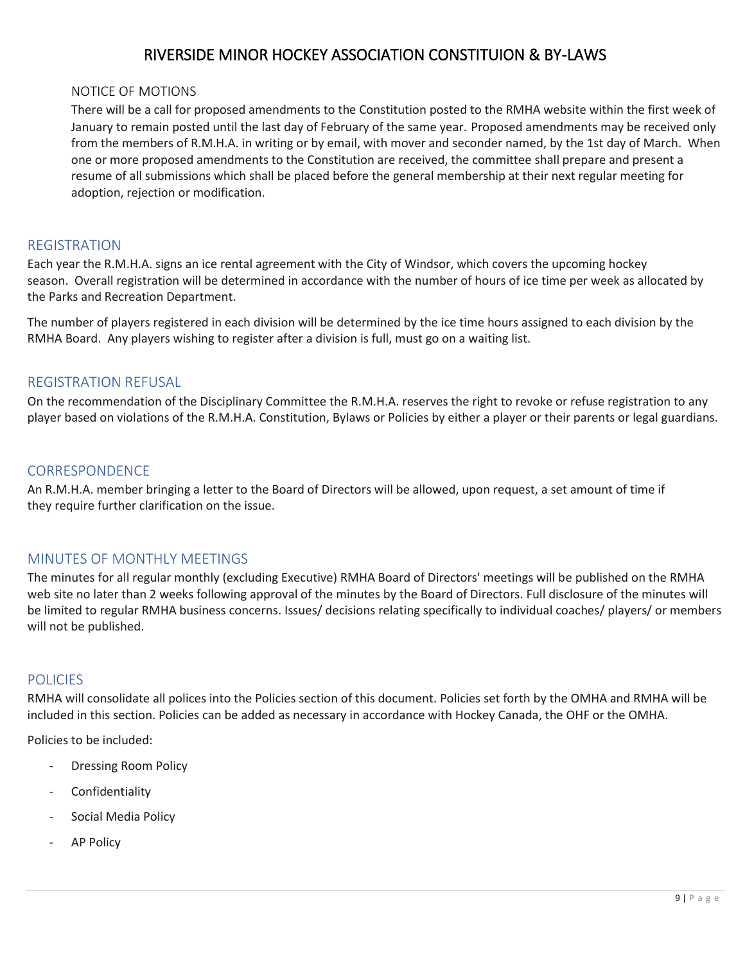#### <span id="page-8-0"></span>NOTICE OF MOTIONS

There will be a call for proposed amendments to the Constitution posted to the RMHA website within the first week of January to remain posted until the last day of February of the same year. Proposed amendments may be received only from the members of R.M.H.A. in writing or by email, with mover and seconder named, by the 1st day of March. When one or more proposed amendments to the Constitution are received, the committee shall prepare and present a resume of all submissions which shall be placed before the general membership at their next regular meeting for adoption, rejection or modification.

## <span id="page-8-1"></span>REGISTRATION

Each year the R.M.H.A. signs an ice rental agreement with the City of Windsor, which covers the upcoming hockey season. Overall registration will be determined in accordance with the number of hours of ice time per week as allocated by the Parks and Recreation Department.

The number of players registered in each division will be determined by the ice time hours assigned to each division by the RMHA Board. Any players wishing to register after a division is full, must go on a waiting list.

## <span id="page-8-2"></span>REGISTRATION REFUSAL

On the recommendation of the Disciplinary Committee the R.M.H.A. reserves the right to revoke or refuse registration to any player based on violations of the R.M.H.A. Constitution, Bylaws or Policies by either a player or their parents or legal guardians.

## <span id="page-8-3"></span>**CORRESPONDENCE**

An R.M.H.A. member bringing a letter to the Board of Directors will be allowed, upon request, a set amount of time if they require further clarification on the issue.

## <span id="page-8-4"></span>MINUTES OF MONTHLY MEETINGS

The minutes for all regular monthly (excluding Executive) RMHA Board of Directors' meetings will be published on the RMHA web site no later than 2 weeks following approval of the minutes by the Board of Directors. Full disclosure of the minutes will be limited to regular RMHA business concerns. Issues/ decisions relating specifically to individual coaches/ players/ or members will not be published.

## <span id="page-8-5"></span>**POLICIES**

RMHA will consolidate all polices into the Policies section of this document. Policies set forth by the OMHA and RMHA will be included in this section. Policies can be added as necessary in accordance with Hockey Canada, the OHF or the OMHA.

Policies to be included:

- Dressing Room Policy
- **Confidentiality**
- Social Media Policy
- **AP Policy**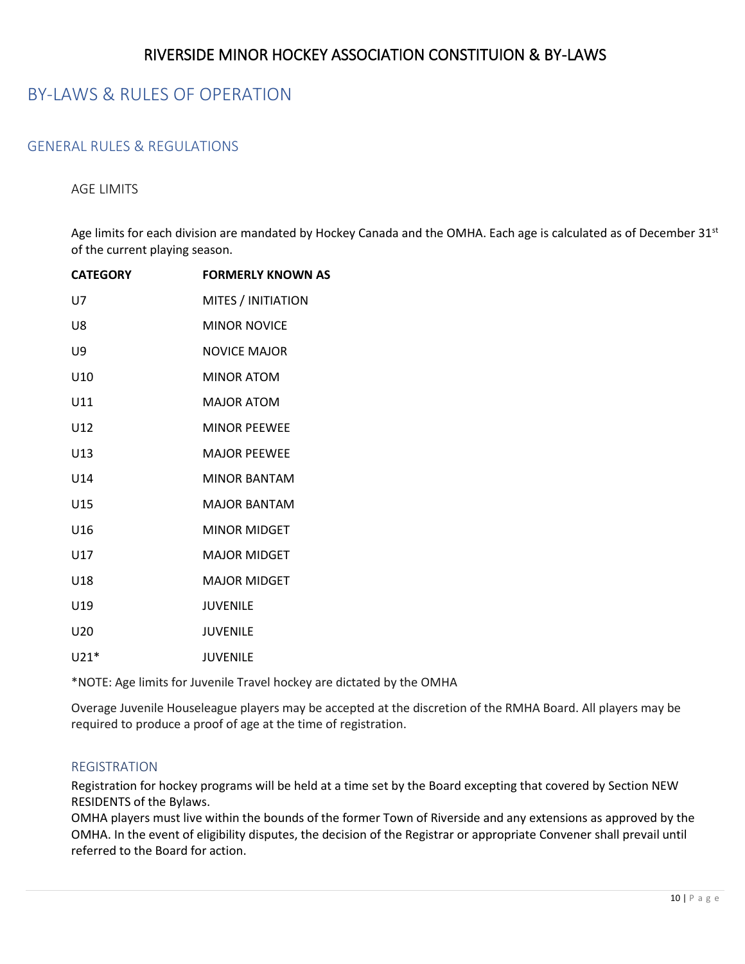## <span id="page-9-0"></span>BY-LAWS & RULES OF OPERATION

## <span id="page-9-2"></span><span id="page-9-1"></span>GENERAL RULES & REGULATIONS

#### AGE LIMITS

Age limits for each division are mandated by Hockey Canada and the OMHA. Each age is calculated as of December 31<sup>st</sup> of the current playing season.

| <b>CATEGORY</b> | <b>FORMERLY KNOWN AS</b> |
|-----------------|--------------------------|
| U7              | MITES / INITIATION       |
| U8              | <b>MINOR NOVICE</b>      |
| U9              | <b>NOVICE MAJOR</b>      |
| U <sub>10</sub> | <b>MINOR ATOM</b>        |
| U11             | <b>MAJOR ATOM</b>        |
| U12             | <b>MINOR PEEWEE</b>      |
| U13             | <b>MAJOR PEEWEE</b>      |
| U14             | <b>MINOR BANTAM</b>      |
| U15             | <b>MAIOR BANTAM</b>      |
| U16             | <b>MINOR MIDGET</b>      |
| U17             | <b>MAJOR MIDGET</b>      |
| U18             | <b>MAJOR MIDGET</b>      |
| U19             | <b>JUVENILE</b>          |
| U <sub>20</sub> | <b>JUVENILE</b>          |
| $1121*$         | <b>JUVENILE</b>          |

\*NOTE: Age limits for Juvenile Travel hockey are dictated by the OMHA

Overage Juvenile Houseleague players may be accepted at the discretion of the RMHA Board. All players may be required to produce a proof of age at the time of registration.

#### <span id="page-9-3"></span>REGISTRATION

Registration for hockey programs will be held at a time set by the Board excepting that covered by Section NEW RESIDENTS of the Bylaws.

OMHA players must live within the bounds of the former Town of Riverside and any extensions as approved by the OMHA. In the event of eligibility disputes, the decision of the Registrar or appropriate Convener shall prevail until referred to the Board for action.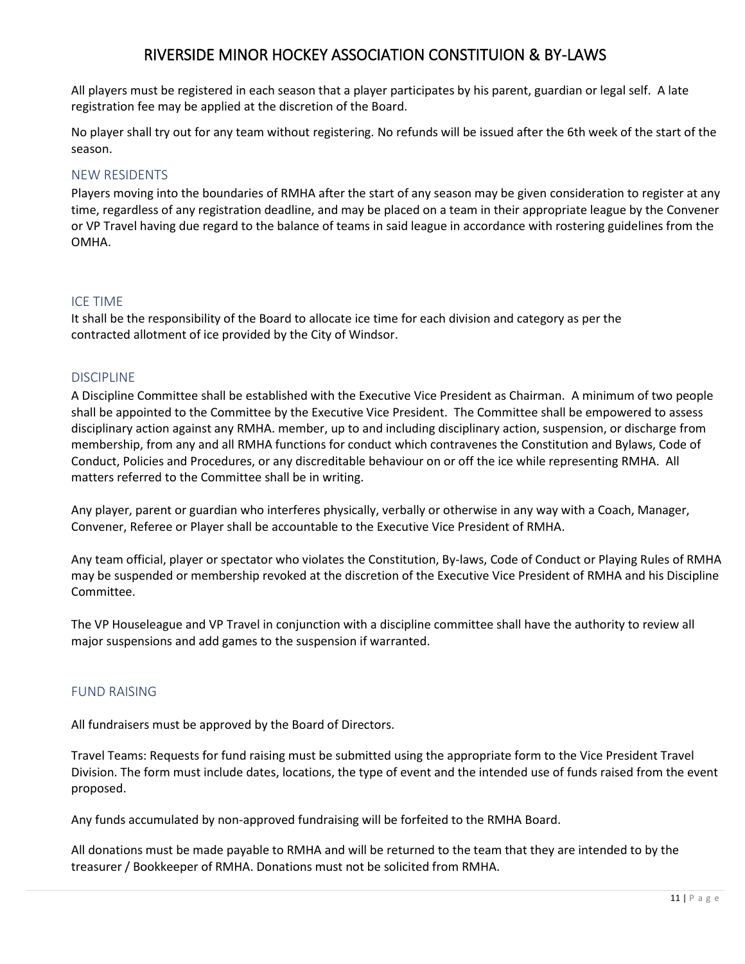All players must be registered in each season that a player participates by his parent, guardian or legal self. A late registration fee may be applied at the discretion of the Board.

No player shall try out for any team without registering. No refunds will be issued after the 6th week of the start of the season.

#### <span id="page-10-0"></span>NEW RESIDENTS

Players moving into the boundaries of RMHA after the start of any season may be given consideration to register at any time, regardless of any registration deadline, and may be placed on a team in their appropriate league by the Convener or VP Travel having due regard to the balance of teams in said league in accordance with rostering guidelines from the OMHA.

#### ICE TIME

It shall be the responsibility of the Board to allocate ice time for each division and category as per the contracted allotment of ice provided by the City of Windsor.

#### <span id="page-10-1"></span>DISCIPLINE

A Discipline Committee shall be established with the Executive Vice President as Chairman. A minimum of two people shall be appointed to the Committee by the Executive Vice President. The Committee shall be empowered to assess disciplinary action against any RMHA. member, up to and including disciplinary action, suspension, or discharge from membership, from any and all RMHA functions for conduct which contravenes the Constitution and Bylaws, Code of Conduct, Policies and Procedures, or any discreditable behaviour on or off the ice while representing RMHA. All matters referred to the Committee shall be in writing.

Any player, parent or guardian who interferes physically, verbally or otherwise in any way with a Coach, Manager, Convener, Referee or Player shall be accountable to the Executive Vice President of RMHA.

Any team official, player or spectator who violates the Constitution, By-laws, Code of Conduct or Playing Rules of RMHA may be suspended or membership revoked at the discretion of the Executive Vice President of RMHA and his Discipline Committee.

The VP Houseleague and VP Travel in conjunction with a discipline committee shall have the authority to review all major suspensions and add games to the suspension if warranted.

#### <span id="page-10-2"></span>FUND RAISING

All fundraisers must be approved by the Board of Directors.

Travel Teams: Requests for fund raising must be submitted using the appropriate form to the Vice President Travel Division. The form must include dates, locations, the type of event and the intended use of funds raised from the event proposed.

Any funds accumulated by non-approved fundraising will be forfeited to the RMHA Board.

All donations must be made payable to RMHA and will be returned to the team that they are intended to by the treasurer / Bookkeeper of RMHA. Donations must not be solicited from RMHA.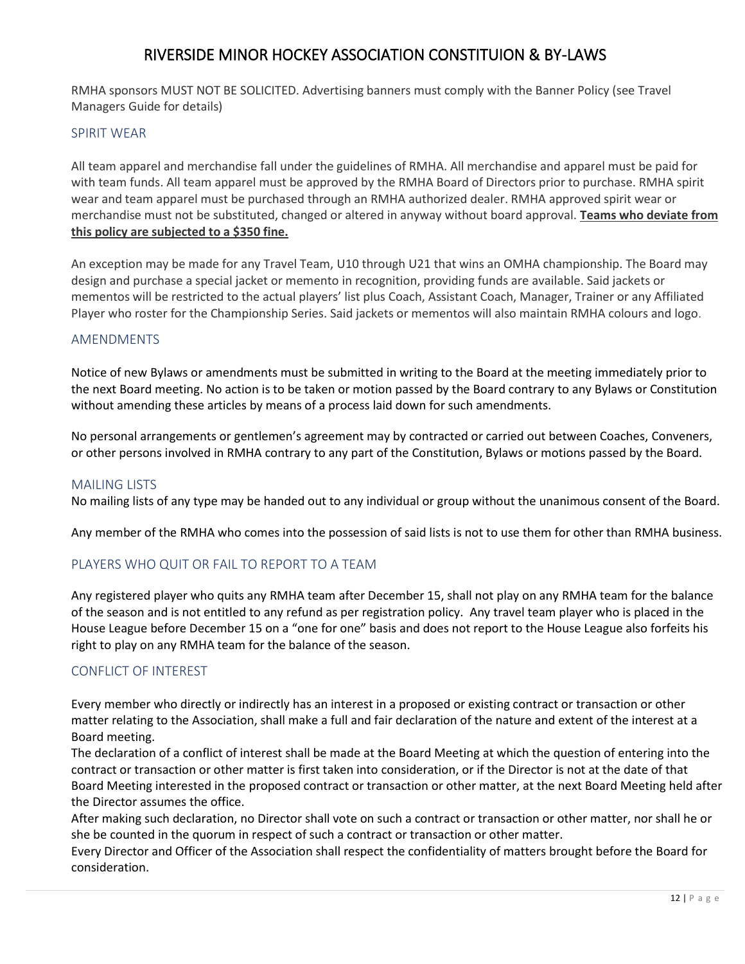RMHA sponsors MUST NOT BE SOLICITED. Advertising banners must comply with the Banner Policy (see Travel Managers Guide for details)

#### <span id="page-11-0"></span>SPIRIT WEAR

All team apparel and merchandise fall under the guidelines of RMHA. All merchandise and apparel must be paid for with team funds. All team apparel must be approved by the RMHA Board of Directors prior to purchase. RMHA spirit wear and team apparel must be purchased through an RMHA authorized dealer. RMHA approved spirit wear or merchandise must not be substituted, changed or altered in anyway without board approval. **Teams who deviate from this policy are subjected to a \$350 fine.**

An exception may be made for any Travel Team, U10 through U21 that wins an OMHA championship. The Board may design and purchase a special jacket or memento in recognition, providing funds are available. Said jackets or mementos will be restricted to the actual players' list plus Coach, Assistant Coach, Manager, Trainer or any Affiliated Player who roster for the Championship Series. Said jackets or mementos will also maintain RMHA colours and logo.

#### <span id="page-11-1"></span>AMENDMENTS

Notice of new Bylaws or amendments must be submitted in writing to the Board at the meeting immediately prior to the next Board meeting. No action is to be taken or motion passed by the Board contrary to any Bylaws or Constitution without amending these articles by means of a process laid down for such amendments.

No personal arrangements or gentlemen's agreement may by contracted or carried out between Coaches, Conveners, or other persons involved in RMHA contrary to any part of the Constitution, Bylaws or motions passed by the Board.

#### <span id="page-11-2"></span>MAILING LISTS

No mailing lists of any type may be handed out to any individual or group without the unanimous consent of the Board.

Any member of the RMHA who comes into the possession of said lists is not to use them for other than RMHA business.

#### <span id="page-11-3"></span>PLAYERS WHO QUIT OR FAIL TO REPORT TO A TEAM

Any registered player who quits any RMHA team after December 15, shall not play on any RMHA team for the balance of the season and is not entitled to any refund as per registration policy. Any travel team player who is placed in the House League before December 15 on a "one for one" basis and does not report to the House League also forfeits his right to play on any RMHA team for the balance of the season.

#### <span id="page-11-4"></span>CONFLICT OF INTEREST

Every member who directly or indirectly has an interest in a proposed or existing contract or transaction or other matter relating to the Association, shall make a full and fair declaration of the nature and extent of the interest at a Board meeting.

The declaration of a conflict of interest shall be made at the Board Meeting at which the question of entering into the contract or transaction or other matter is first taken into consideration, or if the Director is not at the date of that Board Meeting interested in the proposed contract or transaction or other matter, at the next Board Meeting held after the Director assumes the office.

After making such declaration, no Director shall vote on such a contract or transaction or other matter, nor shall he or she be counted in the quorum in respect of such a contract or transaction or other matter.

Every Director and Officer of the Association shall respect the confidentiality of matters brought before the Board for consideration.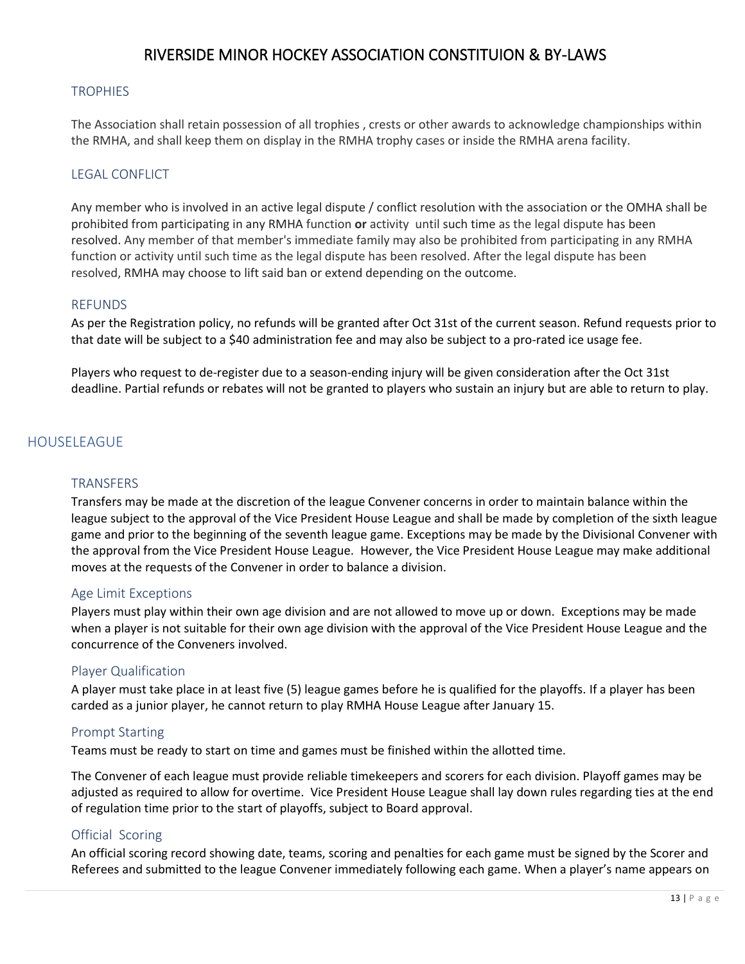#### <span id="page-12-0"></span>**TROPHIES**

The Association shall retain possession of all trophies , crests or other awards to acknowledge championships within the RMHA, and shall keep them on display in the RMHA trophy cases or inside the RMHA arena facility.

#### LEGAL CONFLICT

Any member who is involved in an active legal dispute / conflict resolution with the association or the OMHA shall be prohibited from participating in any RMHA function **or** activity until such time as the legal dispute has been resolved. Any member of that member's immediate family may also be prohibited from participating in any RMHA function or activity until such time as the legal dispute has been resolved. After the legal dispute has been resolved, RMHA may choose to lift said ban or extend depending on the outcome.

#### <span id="page-12-1"></span>REFUNDS

As per the Registration policy, no refunds will be granted after Oct 31st of the current season. Refund requests prior to that date will be subject to a \$40 administration fee and may also be subject to a pro-rated ice usage fee.

Players who request to de-register due to a season-ending injury will be given consideration after the Oct 31st deadline. Partial refunds or rebates will not be granted to players who sustain an injury but are able to return to play.

## <span id="page-12-3"></span><span id="page-12-2"></span>HOUSELEAGUE

#### TRANSFERS

Transfers may be made at the discretion of the league Convener concerns in order to maintain balance within the league subject to the approval of the Vice President House League and shall be made by completion of the sixth league game and prior to the beginning of the seventh league game. Exceptions may be made by the Divisional Convener with the approval from the Vice President House League. However, the Vice President House League may make additional moves at the requests of the Convener in order to balance a division.

#### <span id="page-12-4"></span>Age Limit Exceptions

Players must play within their own age division and are not allowed to move up or down. Exceptions may be made when a player is not suitable for their own age division with the approval of the Vice President House League and the concurrence of the Conveners involved.

#### <span id="page-12-5"></span>Player Qualification

A player must take place in at least five (5) league games before he is qualified for the playoffs. If a player has been carded as a junior player, he cannot return to play RMHA House League after January 15.

#### <span id="page-12-6"></span>Prompt Starting

Teams must be ready to start on time and games must be finished within the allotted time.

The Convener of each league must provide reliable timekeepers and scorers for each division. Playoff games may be adjusted as required to allow for overtime. Vice President House League shall lay down rules regarding ties at the end of regulation time prior to the start of playoffs, subject to Board approval.

#### <span id="page-12-7"></span>Official Scoring

An official scoring record showing date, teams, scoring and penalties for each game must be signed by the Scorer and Referees and submitted to the league Convener immediately following each game. When a player's name appears on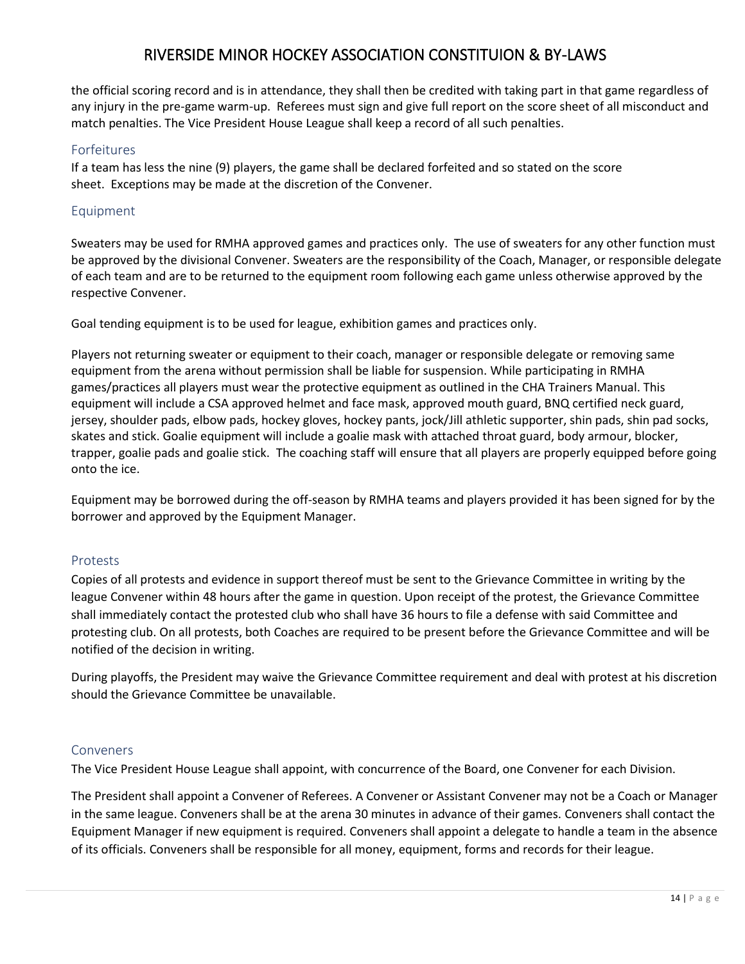the official scoring record and is in attendance, they shall then be credited with taking part in that game regardless of any injury in the pre-game warm-up. Referees must sign and give full report on the score sheet of all misconduct and match penalties. The Vice President House League shall keep a record of all such penalties.

### <span id="page-13-0"></span>Forfeitures

If a team has less the nine (9) players, the game shall be declared forfeited and so stated on the score sheet. Exceptions may be made at the discretion of the Convener.

## <span id="page-13-1"></span>Equipment

Sweaters may be used for RMHA approved games and practices only. The use of sweaters for any other function must be approved by the divisional Convener. Sweaters are the responsibility of the Coach, Manager, or responsible delegate of each team and are to be returned to the equipment room following each game unless otherwise approved by the respective Convener.

Goal tending equipment is to be used for league, exhibition games and practices only.

Players not returning sweater or equipment to their coach, manager or responsible delegate or removing same equipment from the arena without permission shall be liable for suspension. While participating in RMHA games/practices all players must wear the protective equipment as outlined in the CHA Trainers Manual. This equipment will include a CSA approved helmet and face mask, approved mouth guard, BNQ certified neck guard, jersey, shoulder pads, elbow pads, hockey gloves, hockey pants, jock/Jill athletic supporter, shin pads, shin pad socks, skates and stick. Goalie equipment will include a goalie mask with attached throat guard, body armour, blocker, trapper, goalie pads and goalie stick. The coaching staff will ensure that all players are properly equipped before going onto the ice.

Equipment may be borrowed during the off-season by RMHA teams and players provided it has been signed for by the borrower and approved by the Equipment Manager.

#### <span id="page-13-2"></span>Protests

Copies of all protests and evidence in support thereof must be sent to the Grievance Committee in writing by the league Convener within 48 hours after the game in question. Upon receipt of the protest, the Grievance Committee shall immediately contact the protested club who shall have 36 hours to file a defense with said Committee and protesting club. On all protests, both Coaches are required to be present before the Grievance Committee and will be notified of the decision in writing.

During playoffs, the President may waive the Grievance Committee requirement and deal with protest at his discretion should the Grievance Committee be unavailable.

#### <span id="page-13-3"></span>Conveners

The Vice President House League shall appoint, with concurrence of the Board, one Convener for each Division.

The President shall appoint a Convener of Referees. A Convener or Assistant Convener may not be a Coach or Manager in the same league. Conveners shall be at the arena 30 minutes in advance of their games. Conveners shall contact the Equipment Manager if new equipment is required. Conveners shall appoint a delegate to handle a team in the absence of its officials. Conveners shall be responsible for all money, equipment, forms and records for their league.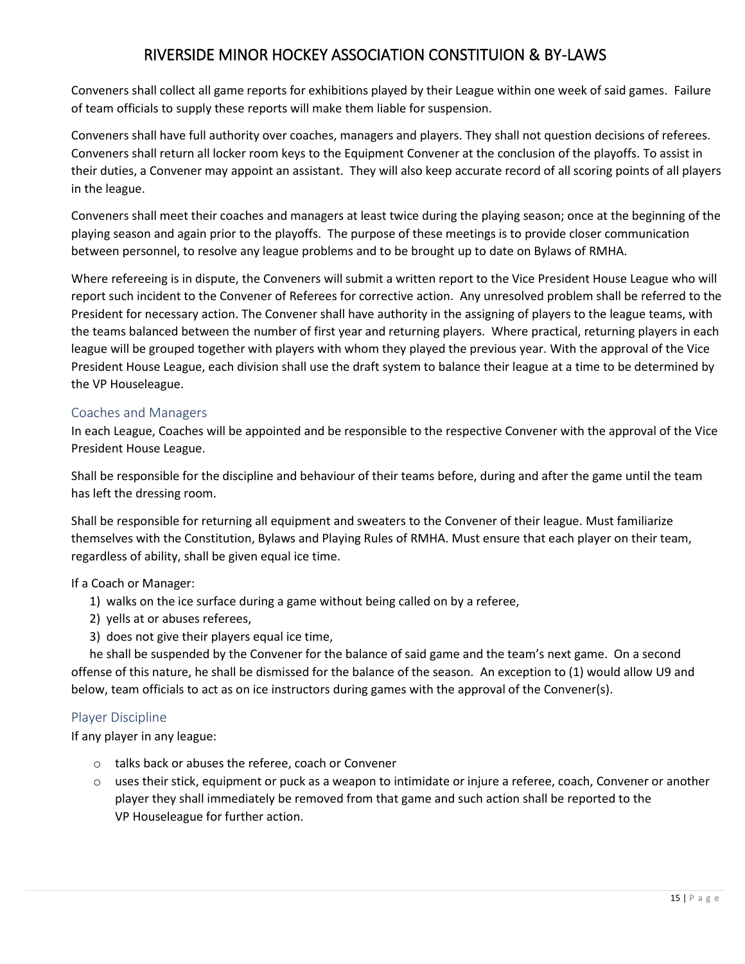Conveners shall collect all game reports for exhibitions played by their League within one week of said games. Failure of team officials to supply these reports will make them liable for suspension.

Conveners shall have full authority over coaches, managers and players. They shall not question decisions of referees. Conveners shall return all locker room keys to the Equipment Convener at the conclusion of the playoffs. To assist in their duties, a Convener may appoint an assistant. They will also keep accurate record of all scoring points of all players in the league.

Conveners shall meet their coaches and managers at least twice during the playing season; once at the beginning of the playing season and again prior to the playoffs. The purpose of these meetings is to provide closer communication between personnel, to resolve any league problems and to be brought up to date on Bylaws of RMHA.

Where refereeing is in dispute, the Conveners will submit a written report to the Vice President House League who will report such incident to the Convener of Referees for corrective action. Any unresolved problem shall be referred to the President for necessary action. The Convener shall have authority in the assigning of players to the league teams, with the teams balanced between the number of first year and returning players. Where practical, returning players in each league will be grouped together with players with whom they played the previous year. With the approval of the Vice President House League, each division shall use the draft system to balance their league at a time to be determined by the VP Houseleague.

## <span id="page-14-0"></span>Coaches and Managers

In each League, Coaches will be appointed and be responsible to the respective Convener with the approval of the Vice President House League.

Shall be responsible for the discipline and behaviour of their teams before, during and after the game until the team has left the dressing room.

Shall be responsible for returning all equipment and sweaters to the Convener of their league. Must familiarize themselves with the Constitution, Bylaws and Playing Rules of RMHA. Must ensure that each player on their team, regardless of ability, shall be given equal ice time.

If a Coach or Manager:

- 1) walks on the ice surface during a game without being called on by a referee,
- 2) yells at or abuses referees,
- 3) does not give their players equal ice time,

 he shall be suspended by the Convener for the balance of said game and the team's next game. On a second offense of this nature, he shall be dismissed for the balance of the season. An exception to (1) would allow U9 and below, team officials to act as on ice instructors during games with the approval of the Convener(s).

## <span id="page-14-1"></span>Player Discipline

If any player in any league:

- o talks back or abuses the referee, coach or Convener
- o uses their stick, equipment or puck as a weapon to intimidate or injure a referee, coach, Convener or another player they shall immediately be removed from that game and such action shall be reported to the VP Houseleague for further action.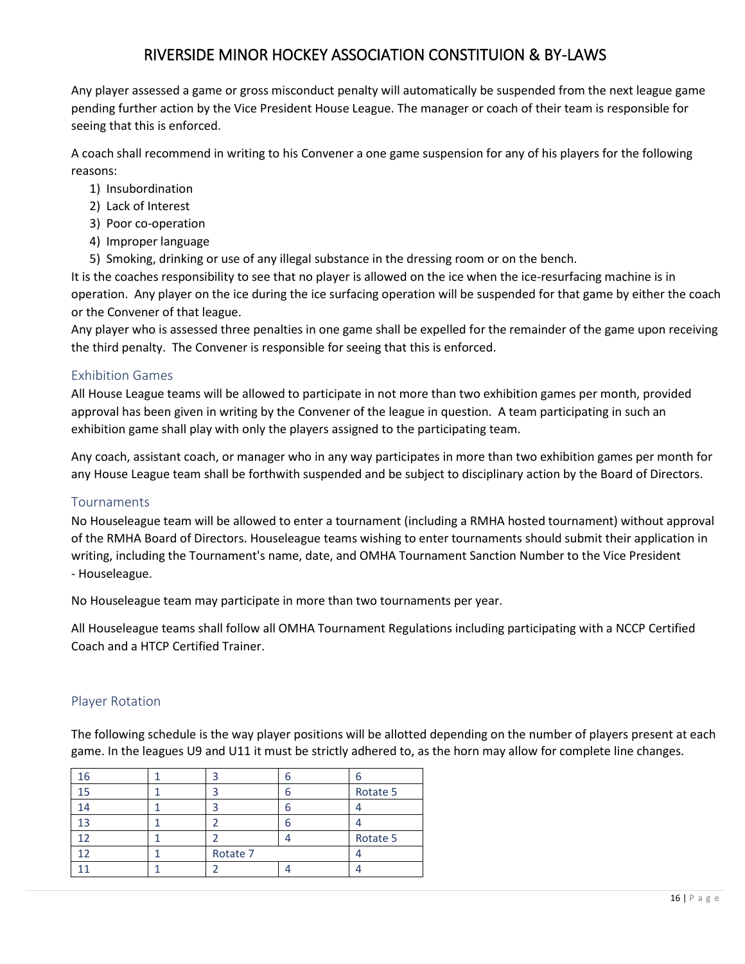Any player assessed a game or gross misconduct penalty will automatically be suspended from the next league game pending further action by the Vice President House League. The manager or coach of their team is responsible for seeing that this is enforced.

A coach shall recommend in writing to his Convener a one game suspension for any of his players for the following reasons:

- 1) Insubordination
- 2) Lack of Interest
- 3) Poor co-operation
- 4) Improper language
- 5) Smoking, drinking or use of any illegal substance in the dressing room or on the bench.

It is the coaches responsibility to see that no player is allowed on the ice when the ice-resurfacing machine is in operation. Any player on the ice during the ice surfacing operation will be suspended for that game by either the coach or the Convener of that league.

Any player who is assessed three penalties in one game shall be expelled for the remainder of the game upon receiving the third penalty. The Convener is responsible for seeing that this is enforced.

## <span id="page-15-0"></span>Exhibition Games

All House League teams will be allowed to participate in not more than two exhibition games per month, provided approval has been given in writing by the Convener of the league in question. A team participating in such an exhibition game shall play with only the players assigned to the participating team.

Any coach, assistant coach, or manager who in any way participates in more than two exhibition games per month for any House League team shall be forthwith suspended and be subject to disciplinary action by the Board of Directors.

#### <span id="page-15-1"></span>Tournaments

No Houseleague team will be allowed to enter a tournament (including a RMHA hosted tournament) without approval of the RMHA Board of Directors. Houseleague teams wishing to enter tournaments should submit their application in writing, including the Tournament's name, date, and OMHA Tournament Sanction Number to the Vice President - Houseleague.

No Houseleague team may participate in more than two tournaments per year.

All Houseleague teams shall follow all OMHA Tournament Regulations including participating with a NCCP Certified Coach and a HTCP Certified Trainer.

## <span id="page-15-2"></span>Player Rotation

The following schedule is the way player positions will be allotted depending on the number of players present at each game. In the leagues U9 and U11 it must be strictly adhered to, as the horn may allow for complete line changes.

|    |          | n |          |
|----|----------|---|----------|
|    |          | n | Rotate 5 |
|    |          | n |          |
| 13 |          | n |          |
|    |          |   | Rotate 5 |
|    | Rotate 7 |   |          |
|    |          |   |          |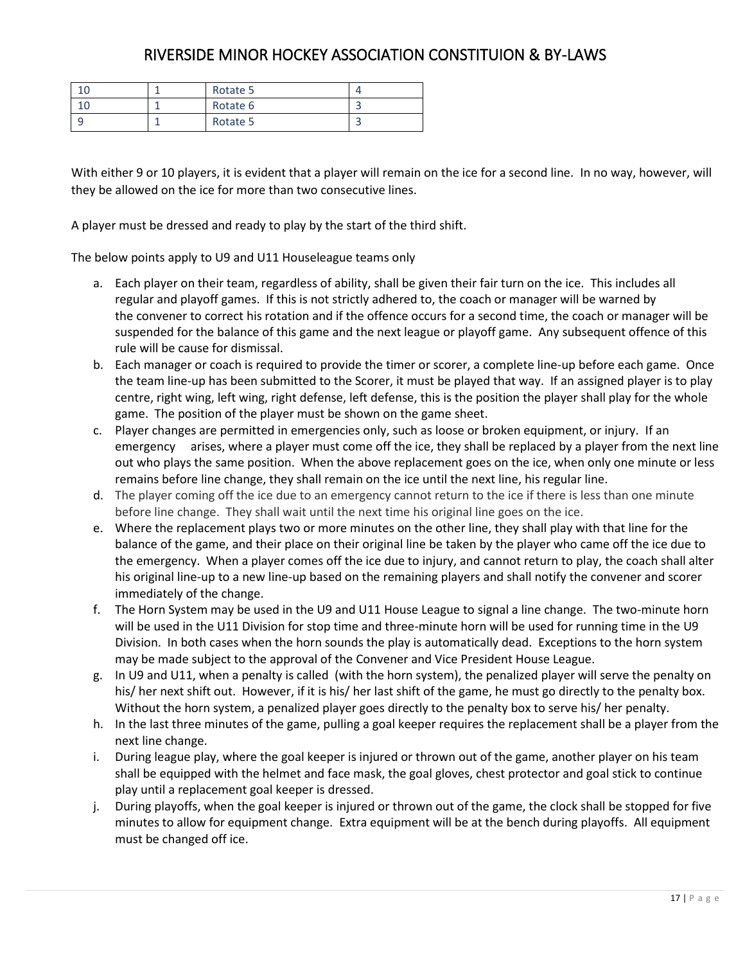|  | Rotate 5 |  |
|--|----------|--|
|  | Rotate 6 |  |
|  | Rotate 5 |  |

With either 9 or 10 players, it is evident that a player will remain on the ice for a second line. In no way, however, will they be allowed on the ice for more than two consecutive lines.

A player must be dressed and ready to play by the start of the third shift.

The below points apply to U9 and U11 Houseleague teams only

- a. Each player on their team, regardless of ability, shall be given their fair turn on the ice. This includes all regular and playoff games. If this is not strictly adhered to, the coach or manager will be warned by the convener to correct his rotation and if the offence occurs for a second time, the coach or manager will be suspended for the balance of this game and the next league or playoff game. Any subsequent offence of this rule will be cause for dismissal.
- b. Each manager or coach is required to provide the timer or scorer, a complete line-up before each game. Once the team line-up has been submitted to the Scorer, it must be played that way. If an assigned player is to play centre, right wing, left wing, right defense, left defense, this is the position the player shall play for the whole game. The position of the player must be shown on the game sheet.
- c. Player changes are permitted in emergencies only, such as loose or broken equipment, or injury. If an emergency arises, where a player must come off the ice, they shall be replaced by a player from the next line out who plays the same position. When the above replacement goes on the ice, when only one minute or less remains before line change, they shall remain on the ice until the next line, his regular line.
- d. The player coming off the ice due to an emergency cannot return to the ice if there is less than one minute before line change. They shall wait until the next time his original line goes on the ice.
- e. Where the replacement plays two or more minutes on the other line, they shall play with that line for the balance of the game, and their place on their original line be taken by the player who came off the ice due to the emergency. When a player comes off the ice due to injury, and cannot return to play, the coach shall alter his original line-up to a new line-up based on the remaining players and shall notify the convener and scorer immediately of the change.
- f. The Horn System may be used in the U9 and U11 House League to signal a line change. The two-minute horn will be used in the U11 Division for stop time and three-minute horn will be used for running time in the U9 Division. In both cases when the horn sounds the play is automatically dead. Exceptions to the horn system may be made subject to the approval of the Convener and Vice President House League.
- g. In U9 and U11, when a penalty is called (with the horn system), the penalized player will serve the penalty on his/ her next shift out. However, if it is his/ her last shift of the game, he must go directly to the penalty box. Without the horn system, a penalized player goes directly to the penalty box to serve his/ her penalty.
- h. In the last three minutes of the game, pulling a goal keeper requires the replacement shall be a player from the next line change.
- i. During league play, where the goal keeper is injured or thrown out of the game, another player on his team shall be equipped with the helmet and face mask, the goal gloves, chest protector and goal stick to continue play until a replacement goal keeper is dressed.
- j. During playoffs, when the goal keeper is injured or thrown out of the game, the clock shall be stopped for five minutes to allow for equipment change. Extra equipment will be at the bench during playoffs. All equipment must be changed off ice.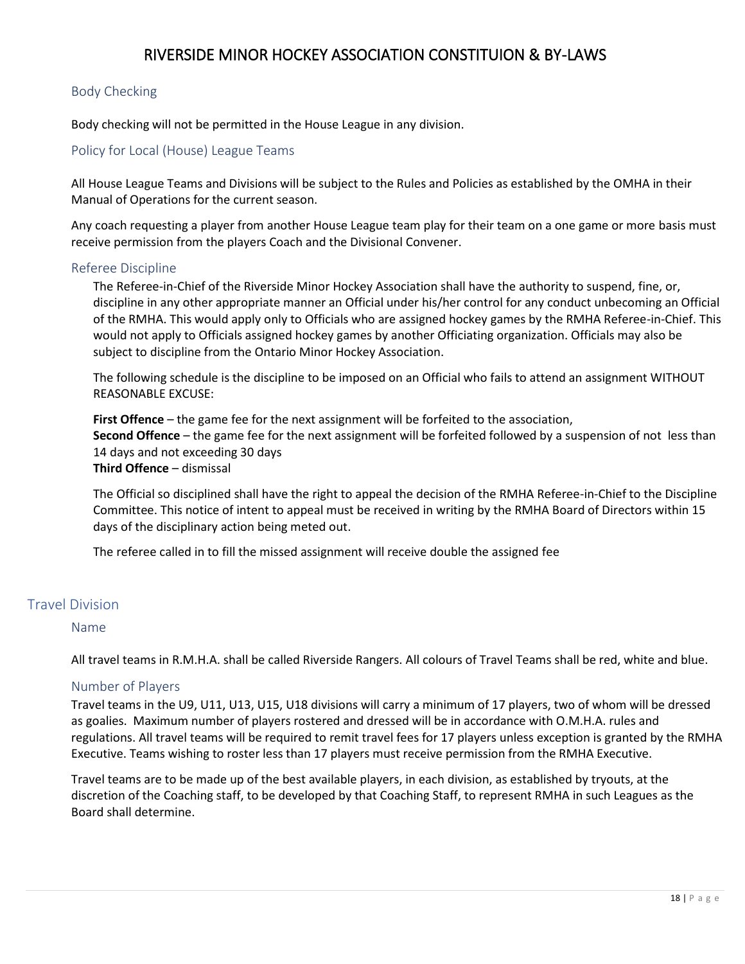## <span id="page-17-0"></span>Body Checking

Body checking will not be permitted in the House League in any division.

## <span id="page-17-1"></span>Policy for Local (House) League Teams

All House League Teams and Divisions will be subject to the Rules and Policies as established by the OMHA in their Manual of Operations for the current season.

Any coach requesting a player from another House League team play for their team on a one game or more basis must receive permission from the players Coach and the Divisional Convener.

#### <span id="page-17-2"></span>Referee Discipline

The Referee-in-Chief of the Riverside Minor Hockey Association shall have the authority to suspend, fine, or, discipline in any other appropriate manner an Official under his/her control for any conduct unbecoming an Official of the RMHA. This would apply only to Officials who are assigned hockey games by the RMHA Referee-in-Chief. This would not apply to Officials assigned hockey games by another Officiating organization. Officials may also be subject to discipline from the Ontario Minor Hockey Association.

The following schedule is the discipline to be imposed on an Official who fails to attend an assignment WITHOUT REASONABLE EXCUSE:

**First Offence** – the game fee for the next assignment will be forfeited to the association, **Second Offence** – the game fee for the next assignment will be forfeited followed by a suspension of not less than 14 days and not exceeding 30 days **Third Offence** – dismissal

The Official so disciplined shall have the right to appeal the decision of the RMHA Referee-in-Chief to the Discipline Committee. This notice of intent to appeal must be received in writing by the RMHA Board of Directors within 15 days of the disciplinary action being meted out.

The referee called in to fill the missed assignment will receive double the assigned fee

#### <span id="page-17-4"></span><span id="page-17-3"></span>Travel Division

#### Name

All travel teams in R.M.H.A. shall be called Riverside Rangers. All colours of Travel Teams shall be red, white and blue.

#### <span id="page-17-5"></span>Number of Players

Travel teams in the U9, U11, U13, U15, U18 divisions will carry a minimum of 17 players, two of whom will be dressed as goalies. Maximum number of players rostered and dressed will be in accordance with O.M.H.A. rules and regulations. All travel teams will be required to remit travel fees for 17 players unless exception is granted by the RMHA Executive. Teams wishing to roster less than 17 players must receive permission from the RMHA Executive.

Travel teams are to be made up of the best available players, in each division, as established by tryouts, at the discretion of the Coaching staff, to be developed by that Coaching Staff, to represent RMHA in such Leagues as the Board shall determine.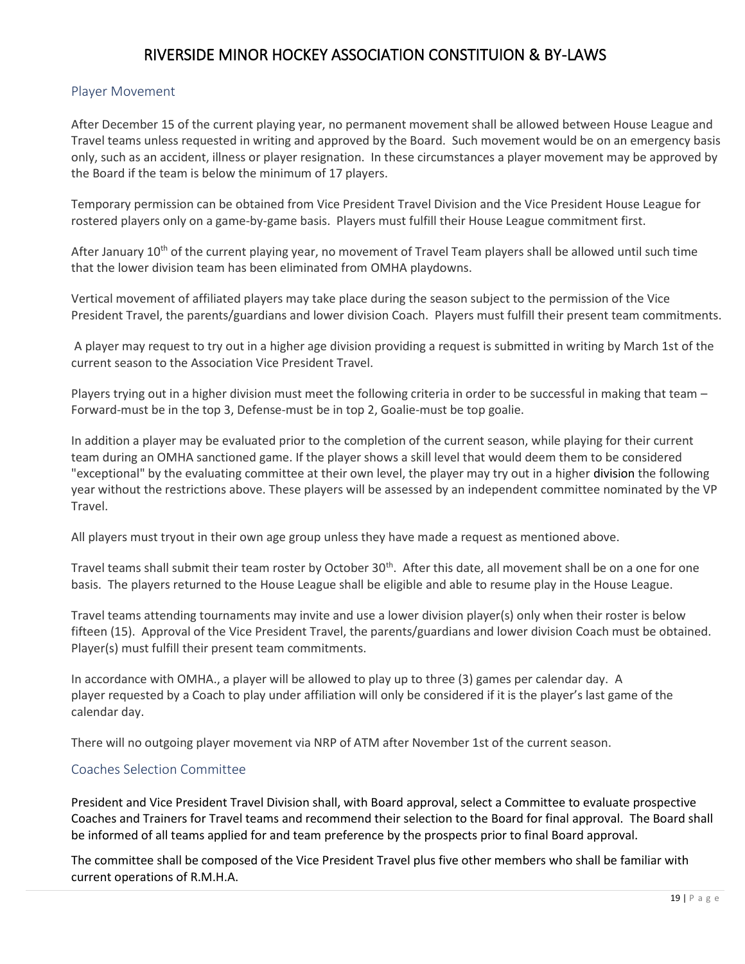## <span id="page-18-0"></span>Player Movement

After December 15 of the current playing year, no permanent movement shall be allowed between House League and Travel teams unless requested in writing and approved by the Board. Such movement would be on an emergency basis only, such as an accident, illness or player resignation. In these circumstances a player movement may be approved by the Board if the team is below the minimum of 17 players.

Temporary permission can be obtained from Vice President Travel Division and the Vice President House League for rostered players only on a game-by-game basis. Players must fulfill their House League commitment first.

After January 10<sup>th</sup> of the current playing year, no movement of Travel Team players shall be allowed until such time that the lower division team has been eliminated from OMHA playdowns.

Vertical movement of affiliated players may take place during the season subject to the permission of the Vice President Travel, the parents/guardians and lower division Coach. Players must fulfill their present team commitments.

A player may request to try out in a higher age division providing a request is submitted in writing by March 1st of the current season to the Association Vice President Travel.

Players trying out in a higher division must meet the following criteria in order to be successful in making that team -Forward-must be in the top 3, Defense-must be in top 2, Goalie-must be top goalie.

In addition a player may be evaluated prior to the completion of the current season, while playing for their current team during an OMHA sanctioned game. If the player shows a skill level that would deem them to be considered "exceptional" by the evaluating committee at their own level, the player may try out in a higher division the following year without the restrictions above. These players will be assessed by an independent committee nominated by the VP Travel.

All players must tryout in their own age group unless they have made a request as mentioned above.

Travel teams shall submit their team roster by October 30<sup>th</sup>. After this date, all movement shall be on a one for one basis. The players returned to the House League shall be eligible and able to resume play in the House League.

Travel teams attending tournaments may invite and use a lower division player(s) only when their roster is below fifteen (15). Approval of the Vice President Travel, the parents/guardians and lower division Coach must be obtained. Player(s) must fulfill their present team commitments.

In accordance with OMHA., a player will be allowed to play up to three (3) games per calendar day. A player requested by a Coach to play under affiliation will only be considered if it is the player's last game of the calendar day.

There will no outgoing player movement via NRP of ATM after November 1st of the current season.

## <span id="page-18-1"></span>Coaches Selection Committee

President and Vice President Travel Division shall, with Board approval, select a Committee to evaluate prospective Coaches and Trainers for Travel teams and recommend their selection to the Board for final approval. The Board shall be informed of all teams applied for and team preference by the prospects prior to final Board approval.

The committee shall be composed of the Vice President Travel plus five other members who shall be familiar with current operations of R.M.H.A.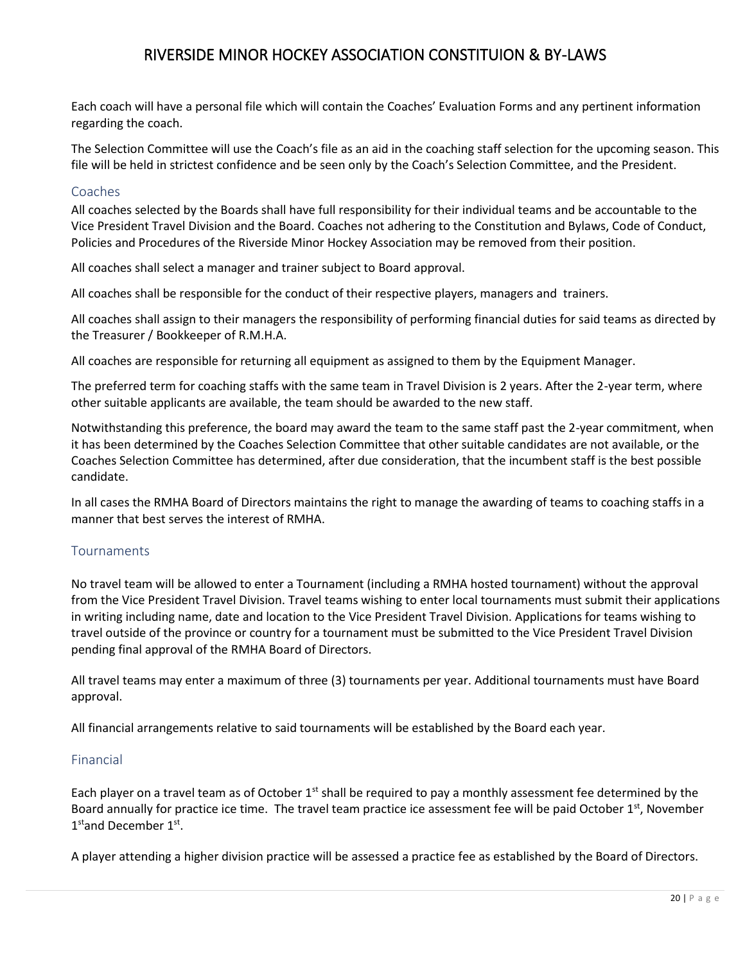Each coach will have a personal file which will contain the Coaches' Evaluation Forms and any pertinent information regarding the coach.

The Selection Committee will use the Coach's file as an aid in the coaching staff selection for the upcoming season. This file will be held in strictest confidence and be seen only by the Coach's Selection Committee, and the President.

#### <span id="page-19-0"></span>Coaches

All coaches selected by the Boards shall have full responsibility for their individual teams and be accountable to the Vice President Travel Division and the Board. Coaches not adhering to the Constitution and Bylaws, Code of Conduct, Policies and Procedures of the Riverside Minor Hockey Association may be removed from their position.

All coaches shall select a manager and trainer subject to Board approval.

All coaches shall be responsible for the conduct of their respective players, managers and trainers.

All coaches shall assign to their managers the responsibility of performing financial duties for said teams as directed by the Treasurer / Bookkeeper of R.M.H.A.

All coaches are responsible for returning all equipment as assigned to them by the Equipment Manager.

The preferred term for coaching staffs with the same team in Travel Division is 2 years. After the 2-year term, where other suitable applicants are available, the team should be awarded to the new staff.

Notwithstanding this preference, the board may award the team to the same staff past the 2-year commitment, when it has been determined by the Coaches Selection Committee that other suitable candidates are not available, or the Coaches Selection Committee has determined, after due consideration, that the incumbent staff is the best possible candidate.

In all cases the RMHA Board of Directors maintains the right to manage the awarding of teams to coaching staffs in a manner that best serves the interest of RMHA.

#### <span id="page-19-1"></span>Tournaments

No travel team will be allowed to enter a Tournament (including a RMHA hosted tournament) without the approval from the Vice President Travel Division. Travel teams wishing to enter local tournaments must submit their applications in writing including name, date and location to the Vice President Travel Division. Applications for teams wishing to travel outside of the province or country for a tournament must be submitted to the Vice President Travel Division pending final approval of the RMHA Board of Directors.

All travel teams may enter a maximum of three (3) tournaments per year. Additional tournaments must have Board approval.

All financial arrangements relative to said tournaments will be established by the Board each year.

#### <span id="page-19-2"></span>Financial

Each player on a travel team as of October 1<sup>st</sup> shall be required to pay a monthly assessment fee determined by the Board annually for practice ice time. The travel team practice ice assessment fee will be paid October  $1<sup>st</sup>$ , November 1<sup>st</sup>and December 1<sup>st</sup>.

A player attending a higher division practice will be assessed a practice fee as established by the Board of Directors.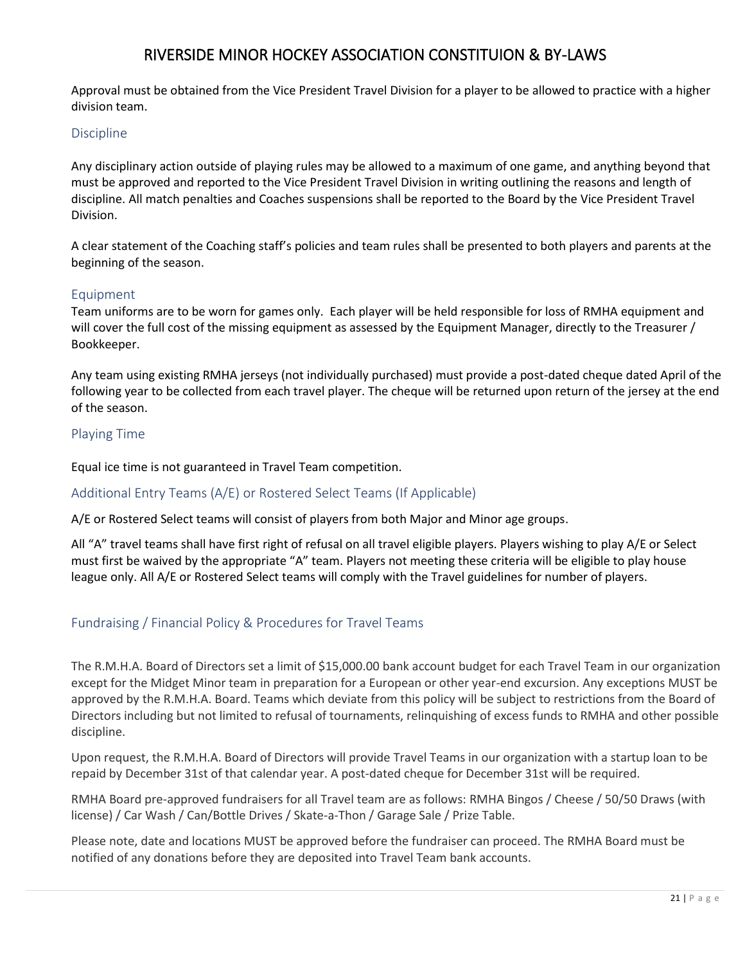Approval must be obtained from the Vice President Travel Division for a player to be allowed to practice with a higher division team.

#### <span id="page-20-0"></span>Discipline

Any disciplinary action outside of playing rules may be allowed to a maximum of one game, and anything beyond that must be approved and reported to the Vice President Travel Division in writing outlining the reasons and length of discipline. All match penalties and Coaches suspensions shall be reported to the Board by the Vice President Travel Division.

A clear statement of the Coaching staff's policies and team rules shall be presented to both players and parents at the beginning of the season.

#### <span id="page-20-1"></span>Equipment

Team uniforms are to be worn for games only. Each player will be held responsible for loss of RMHA equipment and will cover the full cost of the missing equipment as assessed by the Equipment Manager, directly to the Treasurer / Bookkeeper.

Any team using existing RMHA jerseys (not individually purchased) must provide a post-dated cheque dated April of the following year to be collected from each travel player. The cheque will be returned upon return of the jersey at the end of the season.

## <span id="page-20-2"></span>Playing Time

Equal ice time is not guaranteed in Travel Team competition.

#### <span id="page-20-3"></span>Additional Entry Teams (A/E) or Rostered Select Teams (If Applicable)

A/E or Rostered Select teams will consist of players from both Major and Minor age groups.

All "A" travel teams shall have first right of refusal on all travel eligible players. Players wishing to play A/E or Select must first be waived by the appropriate "A" team. Players not meeting these criteria will be eligible to play house league only. All A/E or Rostered Select teams will comply with the Travel guidelines for number of players.

## <span id="page-20-4"></span>Fundraising / Financial Policy & Procedures for Travel Teams

The R.M.H.A. Board of Directors set a limit of \$15,000.00 bank account budget for each Travel Team in our organization except for the Midget Minor team in preparation for a European or other year-end excursion. Any exceptions MUST be approved by the R.M.H.A. Board. Teams which deviate from this policy will be subject to restrictions from the Board of Directors including but not limited to refusal of tournaments, relinquishing of excess funds to RMHA and other possible discipline.

Upon request, the R.M.H.A. Board of Directors will provide Travel Teams in our organization with a startup loan to be repaid by December 31st of that calendar year. A post-dated cheque for December 31st will be required.

RMHA Board pre-approved fundraisers for all Travel team are as follows: RMHA Bingos / Cheese / 50/50 Draws (with license) / Car Wash / Can/Bottle Drives / Skate-a-Thon / Garage Sale / Prize Table.

Please note, date and locations MUST be approved before the fundraiser can proceed. The RMHA Board must be notified of any donations before they are deposited into Travel Team bank accounts.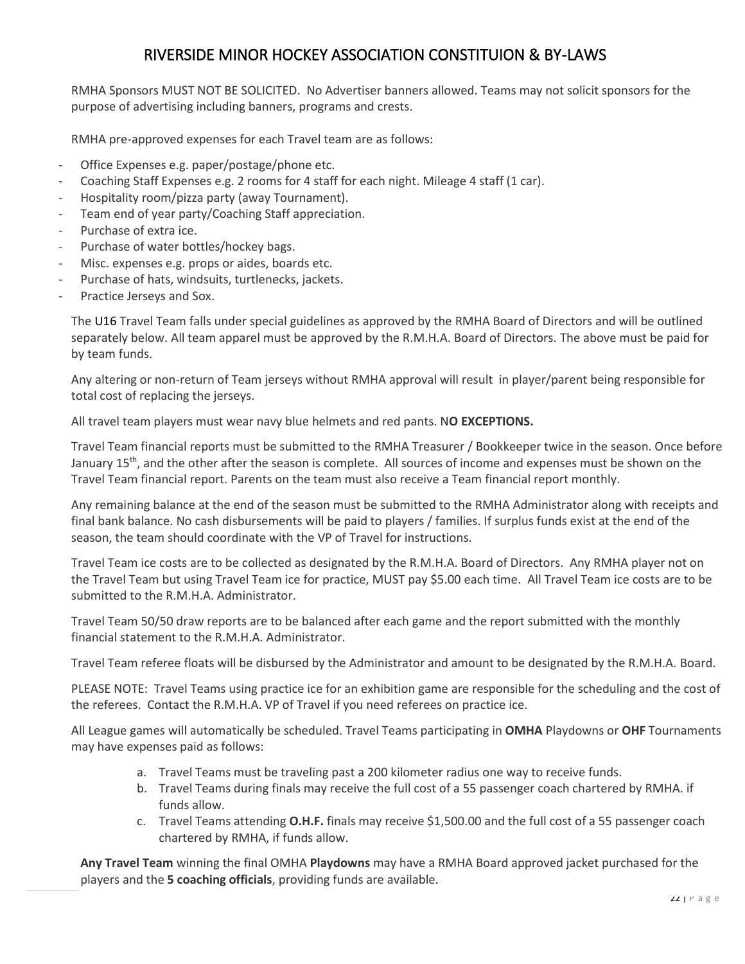RMHA Sponsors MUST NOT BE SOLICITED. No Advertiser banners allowed. Teams may not solicit sponsors for the purpose of advertising including banners, programs and crests.

RMHA pre-approved expenses for each Travel team are as follows:

- Office Expenses e.g. paper/postage/phone etc.
- Coaching Staff Expenses e.g. 2 rooms for 4 staff for each night. Mileage 4 staff (1 car).
- Hospitality room/pizza party (away Tournament).
- Team end of year party/Coaching Staff appreciation.
- Purchase of extra ice.
- Purchase of water bottles/hockey bags.
- Misc. expenses e.g. props or aides, boards etc.
- Purchase of hats, windsuits, turtlenecks, jackets.
- Practice Jerseys and Sox.

The U16 Travel Team falls under special guidelines as approved by the RMHA Board of Directors and will be outlined separately below. All team apparel must be approved by the R.M.H.A. Board of Directors. The above must be paid for by team funds.

Any altering or non-return of Team jerseys without RMHA approval will result in player/parent being responsible for total cost of replacing the jerseys.

All travel team players must wear navy blue helmets and red pants. N**O EXCEPTIONS.**

Travel Team financial reports must be submitted to the RMHA Treasurer / Bookkeeper twice in the season. Once before January 15<sup>th</sup>, and the other after the season is complete. All sources of income and expenses must be shown on the Travel Team financial report. Parents on the team must also receive a Team financial report monthly.

Any remaining balance at the end of the season must be submitted to the RMHA Administrator along with receipts and final bank balance. No cash disbursements will be paid to players / families. If surplus funds exist at the end of the season, the team should coordinate with the VP of Travel for instructions.

Travel Team ice costs are to be collected as designated by the R.M.H.A. Board of Directors. Any RMHA player not on the Travel Team but using Travel Team ice for practice, MUST pay \$5.00 each time. All Travel Team ice costs are to be submitted to the R.M.H.A. Administrator.

Travel Team 50/50 draw reports are to be balanced after each game and the report submitted with the monthly financial statement to the R.M.H.A. Administrator.

Travel Team referee floats will be disbursed by the Administrator and amount to be designated by the R.M.H.A. Board.

PLEASE NOTE: Travel Teams using practice ice for an exhibition game are responsible for the scheduling and the cost of the referees. Contact the R.M.H.A. VP of Travel if you need referees on practice ice.

All League games will automatically be scheduled. Travel Teams participating in **OMHA** Playdowns or **OHF** Tournaments may have expenses paid as follows:

- a. Travel Teams must be traveling past a 200 kilometer radius one way to receive funds.
- b. Travel Teams during finals may receive the full cost of a 55 passenger coach chartered by RMHA. if funds allow.
- c. Travel Teams attending **O.H.F.** finals may receive \$1,500.00 and the full cost of a 55 passenger coach chartered by RMHA, if funds allow.

**Any Travel Team** winning the final OMHA **Playdowns** may have a RMHA Board approved jacket purchased for the players and the **5 coaching officials**, providing funds are available.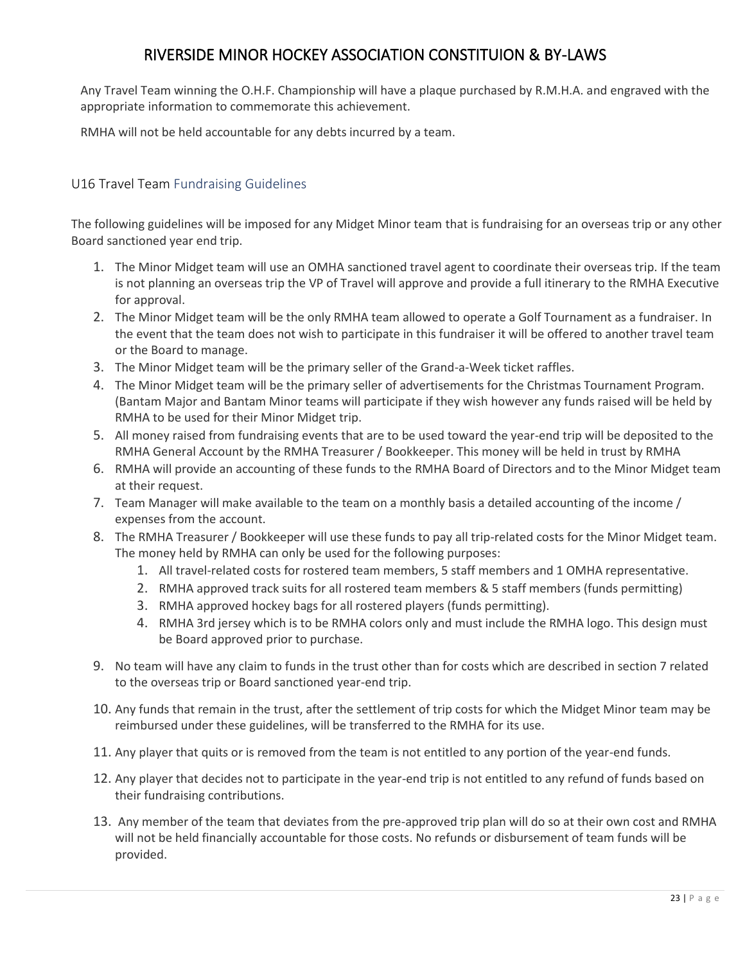Any Travel Team winning the O.H.F. Championship will have a plaque purchased by R.M.H.A. and engraved with the appropriate information to commemorate this achievement.

RMHA will not be held accountable for any debts incurred by a team.

## <span id="page-22-0"></span>U16 Travel Team Fundraising Guidelines

The following guidelines will be imposed for any Midget Minor team that is fundraising for an overseas trip or any other Board sanctioned year end trip.

- 1. The Minor Midget team will use an OMHA sanctioned travel agent to coordinate their overseas trip. If the team is not planning an overseas trip the VP of Travel will approve and provide a full itinerary to the RMHA Executive for approval.
- 2. The Minor Midget team will be the only RMHA team allowed to operate a Golf Tournament as a fundraiser. In the event that the team does not wish to participate in this fundraiser it will be offered to another travel team or the Board to manage.
- 3. The Minor Midget team will be the primary seller of the Grand-a-Week ticket raffles.
- 4. The Minor Midget team will be the primary seller of advertisements for the Christmas Tournament Program. (Bantam Major and Bantam Minor teams will participate if they wish however any funds raised will be held by RMHA to be used for their Minor Midget trip.
- 5. All money raised from fundraising events that are to be used toward the year-end trip will be deposited to the RMHA General Account by the RMHA Treasurer / Bookkeeper. This money will be held in trust by RMHA
- 6. RMHA will provide an accounting of these funds to the RMHA Board of Directors and to the Minor Midget team at their request.
- 7. Team Manager will make available to the team on a monthly basis a detailed accounting of the income / expenses from the account.
- 8. The RMHA Treasurer / Bookkeeper will use these funds to pay all trip-related costs for the Minor Midget team. The money held by RMHA can only be used for the following purposes:
	- 1. All travel-related costs for rostered team members, 5 staff members and 1 OMHA representative.
	- 2. RMHA approved track suits for all rostered team members & 5 staff members (funds permitting)
	- 3. RMHA approved hockey bags for all rostered players (funds permitting).
	- 4. RMHA 3rd jersey which is to be RMHA colors only and must include the RMHA logo. This design must be Board approved prior to purchase.
- 9. No team will have any claim to funds in the trust other than for costs which are described in section 7 related to the overseas trip or Board sanctioned year-end trip.
- 10. Any funds that remain in the trust, after the settlement of trip costs for which the Midget Minor team may be reimbursed under these guidelines, will be transferred to the RMHA for its use.
- 11. Any player that quits or is removed from the team is not entitled to any portion of the year-end funds.
- 12. Any player that decides not to participate in the year-end trip is not entitled to any refund of funds based on their fundraising contributions.
- 13. Any member of the team that deviates from the pre-approved trip plan will do so at their own cost and RMHA will not be held financially accountable for those costs. No refunds or disbursement of team funds will be provided.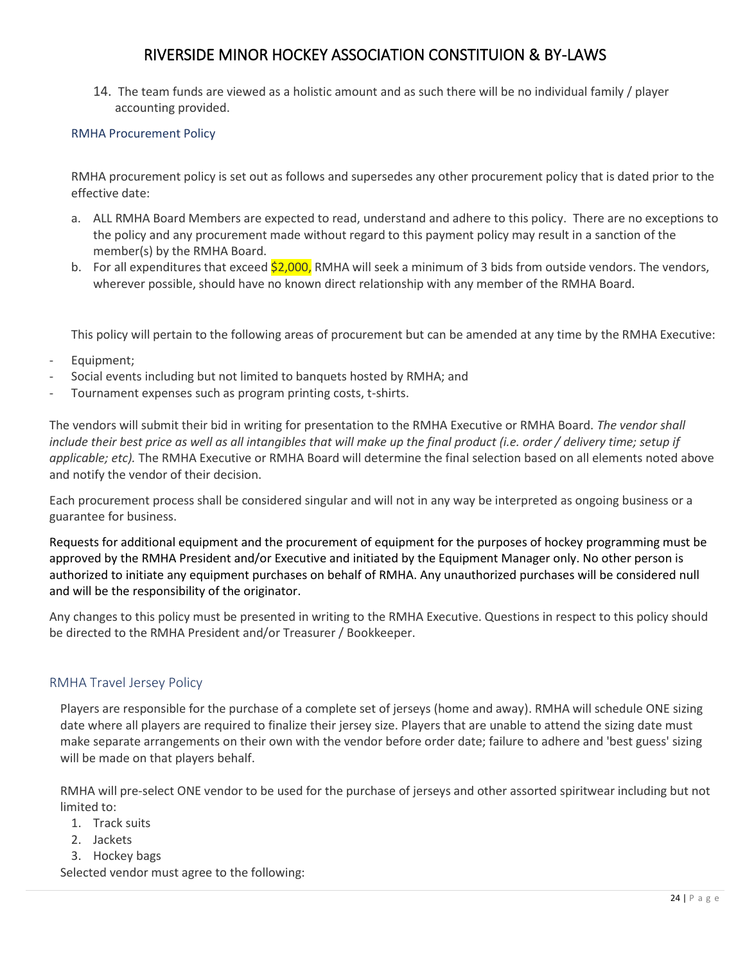14. The team funds are viewed as a holistic amount and as such there will be no individual family / player accounting provided.

### <span id="page-23-0"></span>RMHA Procurement Policy

RMHA procurement policy is set out as follows and supersedes any other procurement policy that is dated prior to the effective date:

- a. ALL RMHA Board Members are expected to read, understand and adhere to this policy. There are no exceptions to the policy and any procurement made without regard to this payment policy may result in a sanction of the member(s) by the RMHA Board.
- b. For all expenditures that exceed \$2,000, RMHA will seek a minimum of 3 bids from outside vendors. The vendors, wherever possible, should have no known direct relationship with any member of the RMHA Board.

This policy will pertain to the following areas of procurement but can be amended at any time by the RMHA Executive:

- Equipment;
- Social events including but not limited to banquets hosted by RMHA; and
- Tournament expenses such as program printing costs, t-shirts.

The vendors will submit their bid in writing for presentation to the RMHA Executive or RMHA Board. *The vendor shall include their best price as well as all intangibles that will make up the final product (i.e. order / delivery time; setup if applicable; etc).* The RMHA Executive or RMHA Board will determine the final selection based on all elements noted above and notify the vendor of their decision.

Each procurement process shall be considered singular and will not in any way be interpreted as ongoing business or a guarantee for business.

Requests for additional equipment and the procurement of equipment for the purposes of hockey programming must be approved by the RMHA President and/or Executive and initiated by the Equipment Manager only. No other person is authorized to initiate any equipment purchases on behalf of RMHA. Any unauthorized purchases will be considered null and will be the responsibility of the originator.

Any changes to this policy must be presented in writing to the RMHA Executive. Questions in respect to this policy should be directed to the RMHA President and/or Treasurer / Bookkeeper.

## RMHA Travel Jersey Policy

Players are responsible for the purchase of a complete set of jerseys (home and away). RMHA will schedule ONE sizing date where all players are required to finalize their jersey size. Players that are unable to attend the sizing date must make separate arrangements on their own with the vendor before order date; failure to adhere and 'best guess' sizing will be made on that players behalf.

RMHA will pre-select ONE vendor to be used for the purchase of jerseys and other assorted spiritwear including but not limited to:

- 1. Track suits
- 2. Jackets
- 3. Hockey bags

Selected vendor must agree to the following: